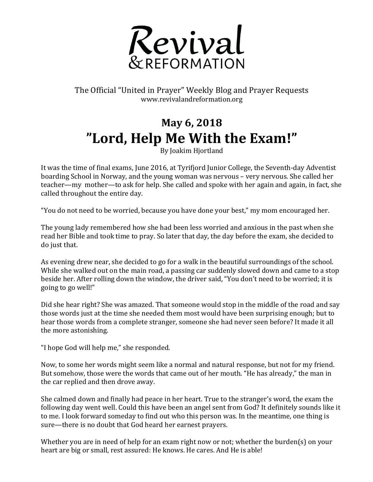

The Official "United in Prayer" Weekly Blog and Prayer Requests www.revivalandreformation.org

## **May 6, 2018 "Lord, Help Me With the Exam!"**

By Joakim Hjortland

It was the time of final exams, June 2016, at Tyrifjord Junior College, the Seventh-day Adventist boarding School in Norway, and the young woman was nervous – very nervous. She called her teacher—my mother—to ask for help. She called and spoke with her again and again, in fact, she called throughout the entire day.

"You do not need to be worried, because you have done your best," my mom encouraged her.

The young lady remembered how she had been less worried and anxious in the past when she read her Bible and took time to pray. So later that day, the day before the exam, she decided to do just that.

As evening drew near, she decided to go for a walk in the beautiful surroundings of the school. While she walked out on the main road, a passing car suddenly slowed down and came to a stop beside her. After rolling down the window, the driver said, "You don't need to be worried; it is going to go well!"

Did she hear right? She was amazed. That someone would stop in the middle of the road and say those words just at the time she needed them most would have been surprising enough; but to hear those words from a complete stranger, someone she had never seen before? It made it all the more astonishing.

"I hope God will help me," she responded.

Now, to some her words might seem like a normal and natural response, but not for my friend. But somehow, those were the words that came out of her mouth. "He has already," the man in the car replied and then drove away.

She calmed down and finally had peace in her heart. True to the stranger's word, the exam the following day went well. Could this have been an angel sent from God? It definitely sounds like it to me. I look forward someday to find out who this person was. In the meantime, one thing is sure—there is no doubt that God heard her earnest prayers.

Whether you are in need of help for an exam right now or not; whether the burden(s) on your heart are big or small, rest assured: He knows. He cares. And He is able!